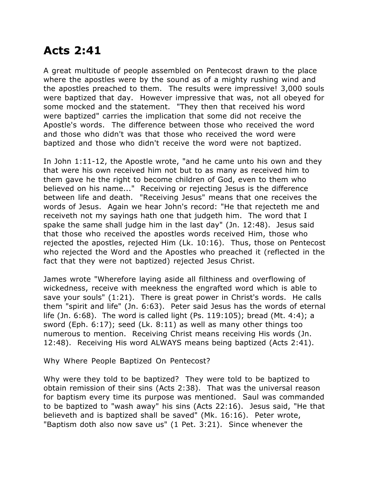## **Acts 2:41**

A great multitude of people assembled on Pentecost drawn to the place where the apostles were by the sound as of a mighty rushing wind and the apostles preached to them. The results were impressive! 3,000 souls were baptized that day. However impressive that was, not all obeyed for some mocked and the statement. "They then that received his word were baptized" carries the implication that some did not receive the Apostle's words. The difference between those who received the word and those who didn't was that those who received the word were baptized and those who didn't receive the word were not baptized.

In John 1:11-12, the Apostle wrote, "and he came unto his own and they that were his own received him not but to as many as received him to them gave he the right to become children of God, even to them who believed on his name..." Receiving or rejecting Jesus is the difference between life and death. "Receiving Jesus" means that one receives the words of Jesus. Again we hear John's record: "He that rejecteth me and receiveth not my sayings hath one that judgeth him. The word that I spake the same shall judge him in the last day" (Jn. 12:48). Jesus said that those who received the apostles words received Him, those who rejected the apostles, rejected Him (Lk. 10:16). Thus, those on Pentecost who rejected the Word and the Apostles who preached it (reflected in the fact that they were not baptized) rejected Jesus Christ.

James wrote "Wherefore laying aside all filthiness and overflowing of wickedness, receive with meekness the engrafted word which is able to save your souls" (1:21). There is great power in Christ's words. He calls them "spirit and life" (Jn. 6:63). Peter said Jesus has the words of eternal life (Jn. 6:68). The word is called light (Ps. 119:105); bread (Mt. 4:4); a sword (Eph. 6:17); seed (Lk. 8:11) as well as many other things too numerous to mention. Receiving Christ means receiving His words (Jn. 12:48). Receiving His word ALWAYS means being baptized (Acts 2:41).

Why Where People Baptized On Pentecost?

Why were they told to be baptized? They were told to be baptized to obtain remission of their sins (Acts 2:38). That was the universal reason for baptism every time its purpose was mentioned. Saul was commanded to be baptized to "wash away" his sins (Acts 22:16). Jesus said, "He that believeth and is baptized shall be saved" (Mk. 16:16). Peter wrote, "Baptism doth also now save us" (1 Pet. 3:21). Since whenever the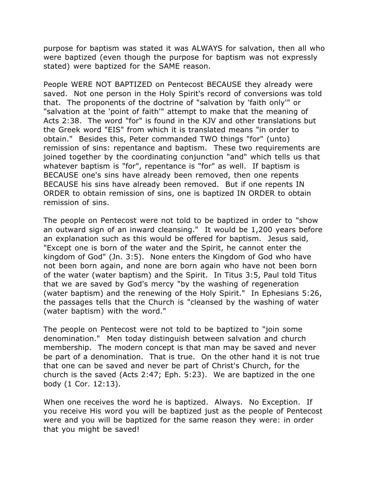purpose for baptism was stated it was ALWAYS for salvation, then all who were baptized (even though the purpose for baptism was not expressly stated) were baptized for the SAME reason.

People WERE NOT BAPTIZED on Pentecost BECAUSE they already were saved. Not one person in the Holy Spirit's record of conversions was told that. The proponents of the doctrine of "salvation by 'faith only'" or "salvation at the 'point of faith'" attempt to make that the meaning of Acts 2:38. The word "for" is found in the KJV and other translations but the Greek word "EIS" from which it is translated means "in order to obtain." Besides this, Peter commanded TWO things "for" (unto) remission of sins: repentance and baptism. These two requirements are joined together by the coordinating conjunction "and" which tells us that whatever baptism is "for", repentance is "for" as well. If baptism is BECAUSE one's sins have already been removed, then one repents BECAUSE his sins have already been removed. But if one repents IN ORDER to obtain remission of sins, one is baptized IN ORDER to obtain remission of sins.

The people on Pentecost were not told to be baptized in order to "show an outward sign of an inward cleansing." It would be 1,200 years before an explanation such as this would be offered for baptism. Jesus said, "Except one is born of the water and the Spirit, he cannot enter the kingdom of God" (Jn. 3:5). None enters the Kingdom of God who have not been born again, and none are born again who have not been born of the water (water baptism) and the Spirit. In Titus 3:5, Paul told Titus that we are saved by God's mercy "by the washing of regeneration (water baptism) and the renewing of the Holy Spirit." In Ephesians 5:26, the passages tells that the Church is "cleansed by the washing of water (water baptism) with the word."

The people on Pentecost were not told to be baptized to "join some denomination." Men today distinguish between salvation and church membership. The modern concept is that man may be saved and never be part of a denomination. That is true. On the other hand it is not true that one can be saved and never be part of Christ's Church, for the church is the saved (Acts 2:47; Eph. 5:23). We are baptized in the one body (1 Cor. 12:13).

When one receives the word he is baptized. Always. No Exception. If you receive His word you will be baptized just as the people of Pentecost were and you will be baptized for the same reason they were: in order that you might be saved!